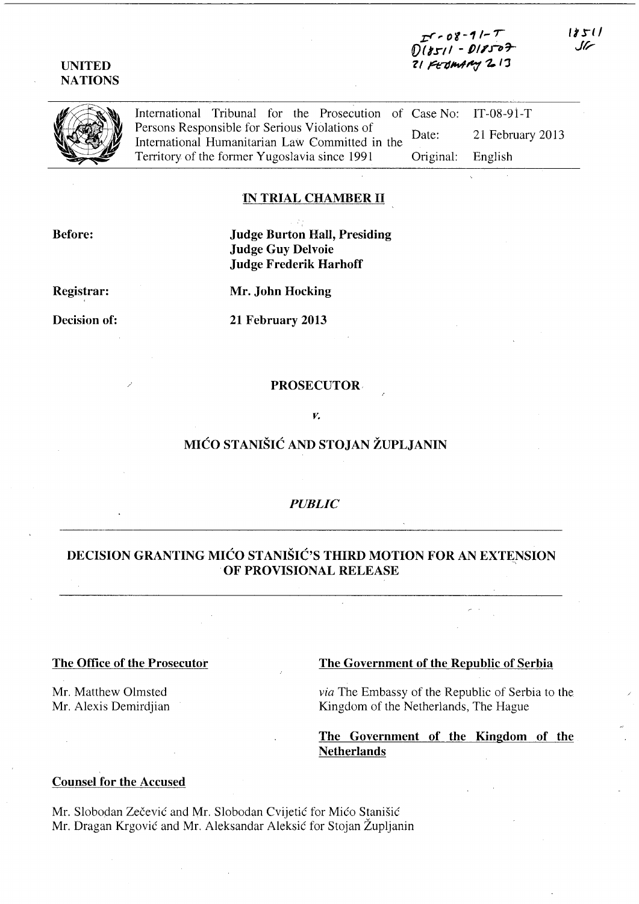**z;:r,.** *0'1-11-* **rf[)t** *tort* 1 **- J)1I'.nr-** ? **( Pt7JIItII"1 '2. I,** 

**UNITED NATIONS** 

| International Tribunal for the Prosecution of Case No: IT-08-91-T                                                                                                                                                                              |                   |                  |
|------------------------------------------------------------------------------------------------------------------------------------------------------------------------------------------------------------------------------------------------|-------------------|------------------|
| International Tribunal for the Prosecution<br>Persons Responsible for Serious Violations of<br>International Humanitarian Law Committed in<br>Territory of the former Yugoslavia since 1991<br>International Humanitarian Law Committed in the | Date:             | 21 February 2013 |
| Territory of the former Yugoslavia since 1991                                                                                                                                                                                                  | Original: English |                  |

### **IN TRIAL CHAMBER 11**

**Before:** 

**Judge Burton Hall, Presiding Judge Guy Delvoie Judge Frederik Harhoff** 

**Registrar:** 

**Mr. John Hocking** 

**Decision of:** 

**21 February 2013** 

#### **PROSECUTOR·**

#### *v.*

# **MICO STANISIC AND STOJAN ZUPLJANIN**

#### *PUBLIC*

# **DECISION GRANTING MIĆO STANIŠIĆ'S THIRD MOTION FOR AN EXTENSION OF PROVISIONAL RELEASE**

Mr. Matthew Olmsted Mr. Alexis Demirdjian

## **The Office of the Prosecutor The Government of the Republic of Serbia**

*via* The Embassy of the Republic of Serbia to the Kingdom of the Netherlands, The Hague

## **The Government of the Kingdom of the Netherlands**

#### **Counsel for the Accused**

Mr. Slobodan Zecevic and Mr. Slobodan Cvijetic for Mico Stanisic Mr. Dragan Krgovic and Mr. Aleksandar Aleksic for Stojan Zupljanin

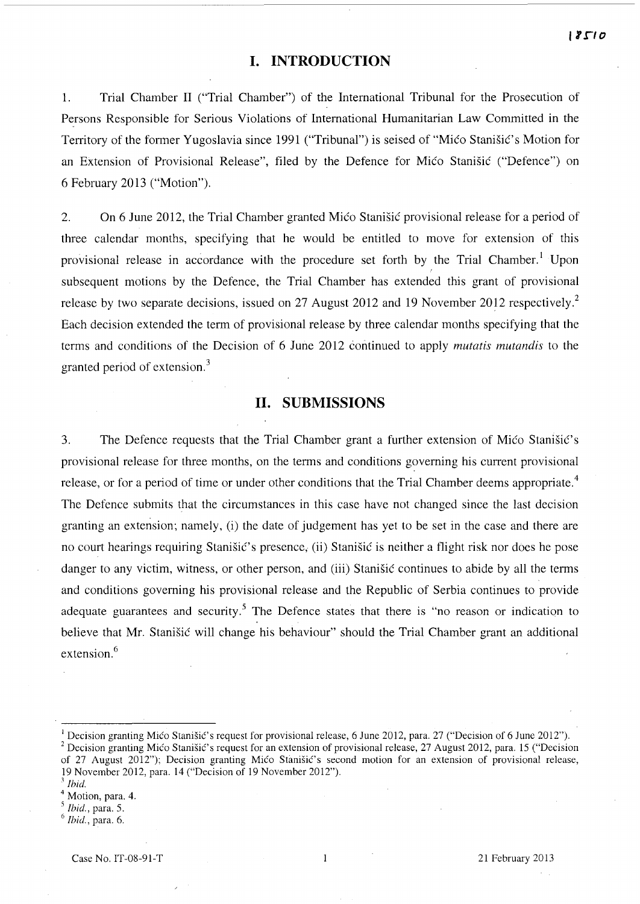# **I. INTRODUCTION**

l. Trial Chamber II ("Trial Chamber") of the International Tribunal for the Prosecution of Persons Responsible for Serious Violations of International Humanitarian Law Committed in the Territory of the former Yugoslavia since 1991 ("Tribunal") is seised of "Mico Stanisic's Motion for an Extension of Provisional Release", filed by the Defence for Mico Stanisic ("Defence") on 6 February 2013 ("Motion").

2. On 6 June 2012, the Trial Chamber granted Mico Stanisic provisional release for a period of three calendar months, specifying that he would be entitled to move for extension of this provisional release in accordance with the procedure set forth by the Trial Chamber.<sup>1</sup> Upon subsequent motions by the Defence, the Trial Chamber has extended this grant of provisional release by two separate decisions, issued on 27 August 2012 and 19 November 2012 respectively.<sup>2</sup> Each decision extended the term of provisional release by three calendar months specifying that the terms and conditions of the Decision of 6 June 2012 continued to apply *mutatis mutandis* to the granted period of extension. <sup>3</sup>

# **11. SUBMISSIONS**

3. The Defence requests that the Trial Chamber grant a further extension of Mico Stanišić's provisional release for three months, on the terms and conditions governing his current provisional release, or for a period of time or under other conditions that the Trial Chamber deems appropriate.<sup>4</sup> The Defence submits that the circumstances in this case have not changed since the last decision granting an extension; namely, (i) the date of judgement has yet to be set in the case and there are no court hearings requiring Stanisic's presence, (ii) Stanisic is neither a flight risk nor does he pose danger to any victim, witness, or other person, and (iii) Stanisic continues to abide by all the terms and conditions governing his provisional release and the Republic of Serbia continues to provide adequate guarantees and security.<sup>5</sup> The Defence states that there is "no reason or indication to believe that Mr. Stanisic will change his behaviour" should the Trial Chamber grant an additional extension.<sup>6</sup>

Decision granting Mico Stanišic's request for provisional release, 6 June 2012, para. 27 ("Decision of 6 June 2012"). <sup>2</sup> Decision granting Mico Stanišic's request for an extension of provisional release, 27 August 2012, para. 15 ("Decision of 27 August 2012"); Decision granting Mico Stanišic's second motion for an extension of provisional release, 19 November 2012, para. 14 ("Decision of 19 November 2012").

*<sup>3</sup> Ibid.* 

Motion, para. 4.

<sup>5</sup> *Ibid.,* para. 5.

*<sup>6</sup> Ibid.,* para. 6.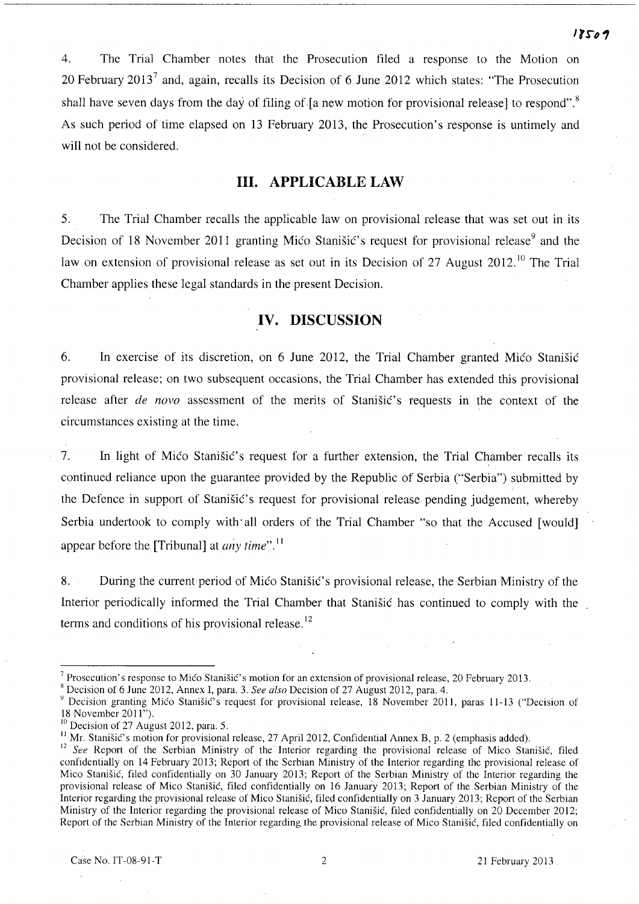4. The Trial Chamber notes that the Prosecution filed a response to the Motion on 20 February 2013<sup>7</sup> and, again, recalls its Decision of 6 June 2012 which states: "The Prosecution shall have seven days from the day of filing of  $\lceil a \rceil$  new motion for provisional release] to respond". As such period of time elapsed on 13 February 2013, the Prosecution's response is untimely and will not be considered.

## **Ill. APPLICABLE LAW**

5. The Trial Chamber recalls the applicable law on provisional release that was set out in its Decision of 18 November 2011 granting Mico Stanisic's request for provisional release<sup>9</sup> and the law on extension of provisional release as set out in its Decision of 27 August 2012.<sup>10</sup> The Trial Chamber applies these legal standards in the present Decision.

# **IV. DISCUSSION**

6. In exercise of its discretion, on 6 June 2012, the Trial Chamber granted Mico Stanisic provisional release; on two subsequent occasions, the Trial Chamber has extended this provisional release after *de novo* assessment of the merits of Stanistic's requests in the context of the circumstances existing at the time.

7. In light of Mico Stanistic's request for a further extension, the Trial Chamber recalls its continued reliance upon the guarantee provided by the Republic of Serbia ("Serbia") submitted by the Defence in support of Stanistic's request for provisional release pending judgement, whereby Serbia undertook to comply with all orders of the Trial Chamber "so that the Accused [would] appear before the [Tribunal] at *any* time".!!

8. During the current period of Mico Stanišic's provisional release, the Serbian Ministry of the Interior periodically informed the Trial Chamber that Stanisic has continued to comply with the terms and conditions of his provisional release.<sup>12</sup>

<sup>&</sup>lt;sup>7</sup> Prosecution's response to Mićo Stanišić's motion for an extension of provisional release, 20 February 2013.

<sup>8</sup> Decision of 6 June 2012, Annex I, para. 3. *See also* Decision of 27 August 2012, para. 4.

<sup>&</sup>lt;sup>9</sup> Decision granting Mico Stanišic's request for provisional release, 18 November 2011, paras 11-13 ("Decision of 18 November 2011").

 $10$  Decision of 27 August 2012, para. 5.

<sup>&</sup>lt;sup>11</sup> Mr. Stanišić's motion for provisional release, 27 April 2012, Confidential Annex B, p. 2 (emphasis added).

<sup>&</sup>lt;sup>12</sup> See Report of the Serbian Ministry of the Interior regarding the provisional release of Mico Stanišić, filed confidentially on 14 February 2013; Report of the Serbian Ministry of the Interior regarding the provisional release of Mico Stanisic, filed confidentially on 30 January 2013; Report of the Serbian Ministry of the Interior regarding the provisional release of Mico Stanisic, filed confidentially on 16 January 2013; Report of the Serbian Ministry of the Interior regarding the provisional release of Mico Stanisic, filed confidentially on 3 January 2013; Report of the Serbian Ministry of the Interior regarding the provisional release of Mico Stanisic, filed confidentially on 20 December 2012; Report of the Serbian Ministry of the Interior regarding the provisional release of Mico Stanisic, filed confidentially on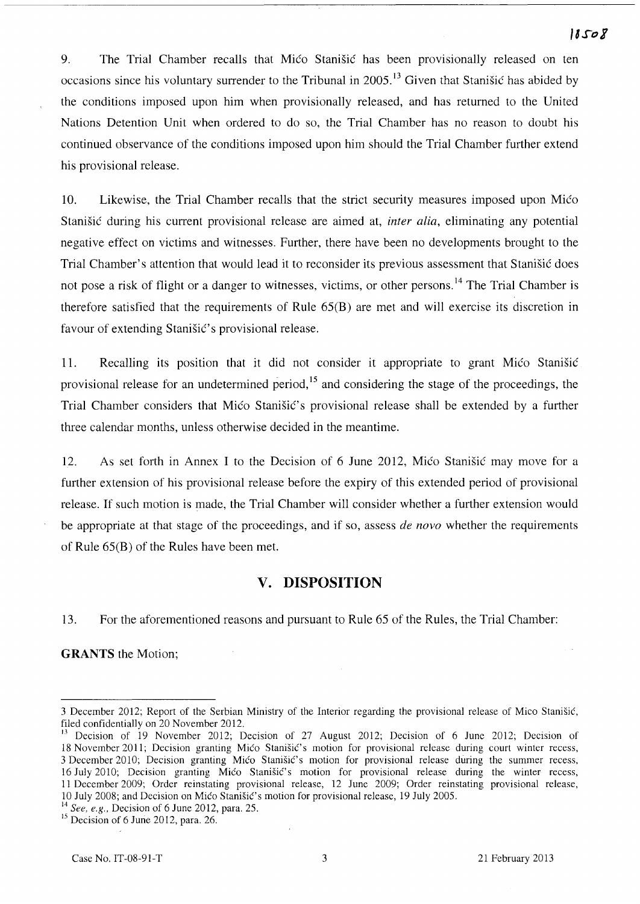9. The Trial Chamber recalls that Mico Stanisic has been provisionally released on ten occasions since his voluntary surrender to the Tribunal in 2005.<sup>13</sup> Given that Stanišić has abided by the conditions imposed upon him when provisionally released, and has returned to the United Nations Detention Unit when ordered to do so, the Trial Chamber has no reason to doubt his continued observance of the conditions imposed upon him should the Trial Chamber further extend his provisional release.

10. Likewise, the Trial Chamber recalls that the strict security measures imposed upon Mico Stanisic during his current provisional release are aimed at, *inter alia,* eliminating any potential negative effect on victims and witnesses. Further, there have been no developments brought to the Trial Chamber's attention that would lead it to reconsider its previous assessment that Stanisic does not pose a risk of flight or a danger to witnesses, victims, or other persons.<sup>14</sup> The Trial Chamber is therefore satisfied that the requirements of Rule 65(B) are met and will exercise its discretion in favour of extending Stanistic's provisional release.

11. Recalling its position that it did not consider it appropriate to grant Mico Stanisic provisional release for an undetermined period,<sup>15</sup> and considering the stage of the proceedings, the Trial Chamber considers that Mico Stanisic's provisional release shall be extended by a further three calendar months, unless otherwise decided in the meantime.

12. As set forth in Annex I to the Decision of 6 June 2012, Mico Stanisic may move for a further extension of his provisional release before the expiry of this extended period of provisional release. If such motion is made, the Trial Chamber will consider whether a further extension would be appropriate at that stage of the proceedings, and if so, assess *de novo* whether the requirements of Rule 65(B) of the Rules have been met.

# **v. DISPOSITION**

13. For the aforementioned reasons and pursuant to Rule 65 of the Rules, the Trial Chamber:

**GRANTS** the Motion;

<sup>3</sup> December 2012; Report of the Serbian Ministry of the Interior regarding the provisional release of Mico Stanisic, filed confidentially on 20 November 2012.

<sup>&</sup>lt;sup>13</sup> Decision of 19 November 2012; Decision of 27 August 2012; Decision of 6 June 2012; Decision of 18 November 2011; Decision granting Mico Stanisic's motion for provisional release during court winter recess, 3 December 2010; Decision granting Mico Stanišic's motion for provisional release during the summer recess, 16 July 2010; Decision granting Mico Stanisic's motion for provisional release during the winter recess, 11 December 2009; Order reinstating provisional release, 12 June 2009; Order reinstating provisional release, 10 July 2008; and Decision on Mica Stanisic's motion for provisional release, 19 July 2005.

<sup>14</sup>*See. e.g.,* Decision of 6 June 2012, para. 25.

<sup>&</sup>lt;sup>15</sup> Decision of 6 June 2012, para. 26.